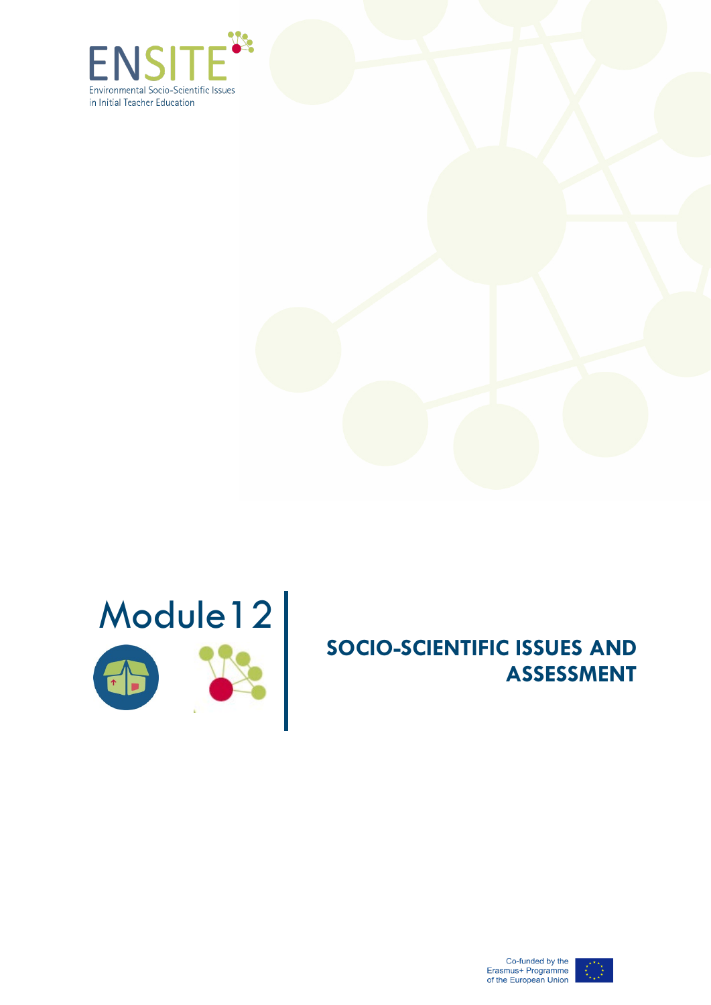





# **SOCIO-SCIENTIFIC ISSUES AND ASSESSMENT**



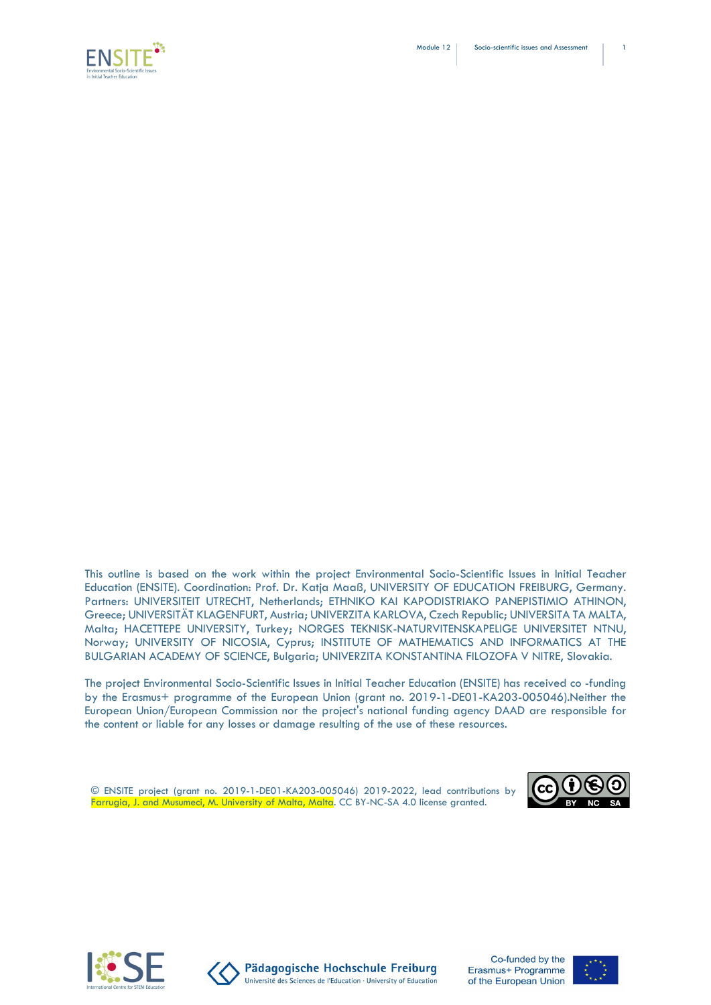



This outline is based on the work within the project Environmental Socio-Scientific Issues in Initial Teacher Education (ENSITE). Coordination: Prof. Dr. Katja Maaß, UNIVERSITY OF EDUCATION FREIBURG, Germany. Partners: UNIVERSITEIT UTRECHT, Netherlands; ETHNIKO KAI KAPODISTRIAKO PANEPISTIMIO ATHINON, Greece; UNIVERSITÄT KLAGENFURT, Austria; UNIVERZITA KARLOVA, Czech Republic; UNIVERSITA TA MALTA, Malta; HACETTEPE UNIVERSITY, Turkey; NORGES TEKNISK-NATURVITENSKAPELIGE UNIVERSITET NTNU, Norway; UNIVERSITY OF NICOSIA, Cyprus; INSTITUTE OF MATHEMATICS AND INFORMATICS AT THE BULGARIAN ACADEMY OF SCIENCE, Bulgaria; UNIVERZITA KONSTANTINA FILOZOFA V NITRE, Slovakia.

The project Environmental Socio-Scientific Issues in Initial Teacher Education (ENSITE) has received co -funding by the Erasmus+ programme of the European Union (grant no. 2019-1-DE01-KA203-005046).Neither the European Union/European Commission nor the project's national funding agency DAAD are responsible for the content or liable for any losses or damage resulting of the use of these resources.

© ENSITE project (grant no. 2019-1-DE01-KA203-005046) 2019-2022, lead contributions by Farrugia, J. and Musumeci, M. University of Malta, Malta. CC BY-NC-SA 4.0 license granted.







Pädagogische Hochschule Freiburg Université des Sciences de l'Education · University of Education

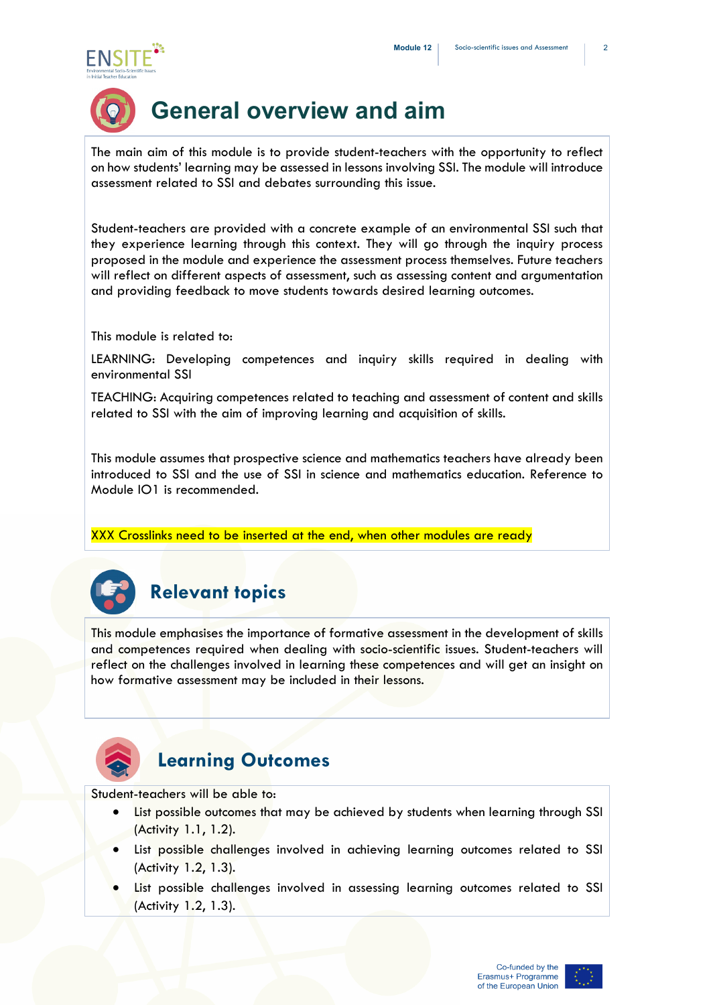



# **General overview and aim**

The main aim of this module is to provide student-teachers with the opportunity to reflect on how students' learning may be assessed in lessons involving SSI. The module will introduce assessment related to SSI and debates surrounding this issue.

Student-teachers are provided with a concrete example of an environmental SSI such that they experience learning through this context. They will go through the inquiry process proposed in the module and experience the assessment process themselves. Future teachers will reflect on different aspects of assessment, such as assessing content and argumentation and providing feedback to move students towards desired learning outcomes.

This module is related to:

LEARNING: Developing competences and inquiry skills required in dealing with environmental SSI

TEACHING: Acquiring competences related to teaching and assessment of content and skills related to SSI with the aim of improving learning and acquisition of skills.

This module assumes that prospective science and mathematics teachers have already been introduced to SSI and the use of SSI in science and mathematics education. Reference to Module IO1 is recommended.

XXX Crosslinks need to be inserted at the end, when other modules are ready



## **Relevant topics**

This module emphasises the importance of formative assessment in the development of skills and competences required when dealing with socio-scientific issues. Student-teachers will reflect on the challenges involved in learning these competences and will get an insight on how formative assessment may be included in their lessons.



### **Learning Outcomes**

Student-teachers will be able to:

- List possible outcomes that may be achieved by students when learning through SSI (Activity 1.1, 1.2).
- List possible challenges involved in achieving learning outcomes related to SSI (Activity 1.2, 1.3).
- List possible challenges involved in assessing learning outcomes related to SSI (Activity 1.2, 1.3).

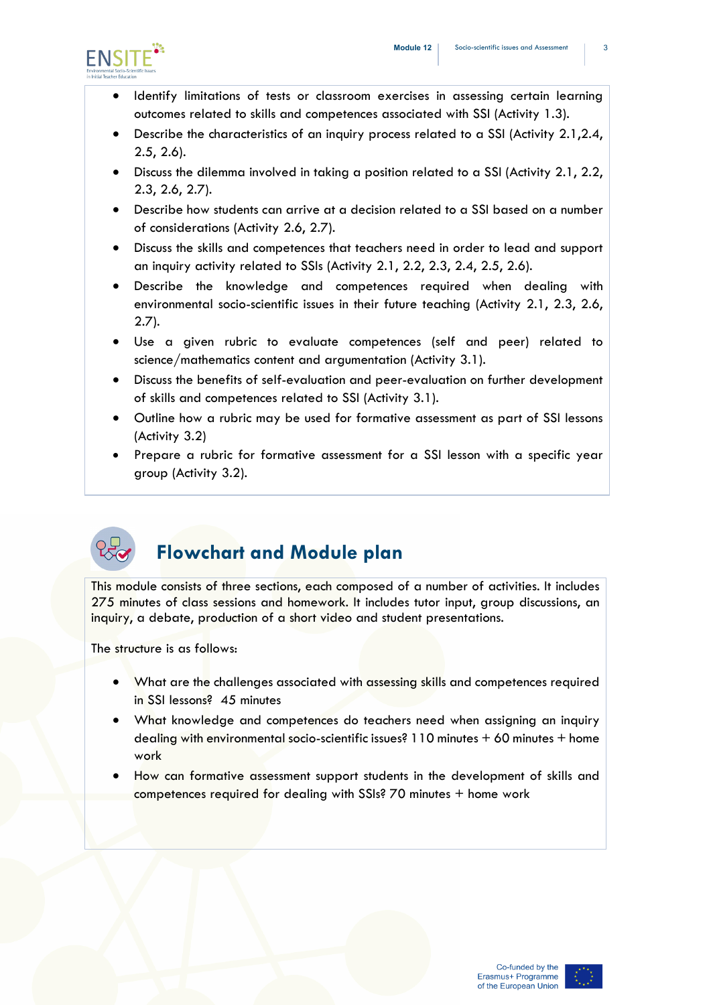

- Identify limitations of tests or classroom exercises in assessing certain learning outcomes related to skills and competences associated with SSI (Activity 1.3).
- Describe the characteristics of an inquiry process related to a SSI (Activity 2.1,2.4, 2.5, 2.6).
- Discuss the dilemma involved in taking a position related to a SSI (Activity 2.1, 2.2, 2.3, 2.6, 2.7).
- Describe how students can arrive at a decision related to a SSI based on a number of considerations (Activity 2.6, 2.7).
- Discuss the skills and competences that teachers need in order to lead and support an inquiry activity related to SSIs (Activity 2.1, 2.2, 2.3, 2.4, 2.5, 2.6).
- Describe the knowledge and competences required when dealing with environmental socio-scientific issues in their future teaching (Activity 2.1, 2.3, 2.6, 2.7).
- Use a given rubric to evaluate competences (self and peer) related to science/mathematics content and argumentation (Activity 3.1).
- Discuss the benefits of self-evaluation and peer-evaluation on further development of skills and competences related to SSI (Activity 3.1).
- Outline how a rubric may be used for formative assessment as part of SSI lessons (Activity 3.2)
- Prepare a rubric for formative assessment for a SSI lesson with a specific year group (Activity 3.2).



## **Flowchart and Module plan**

This module consists of three sections, each composed of a number of activities. It includes 275 minutes of class sessions and homework. It includes tutor input, group discussions, an inquiry, a debate, production of a short video and student presentations.

The structure is as follows:

- What are the challenges associated with assessing skills and competences required in SSI lessons? 45 minutes
- What knowledge and competences do teachers need when assigning an inquiry dealing with environmental socio-scientific issues? 110 minutes + 60 minutes + home work
- How can formative assessment support students in the development of skills and competences required for dealing with SSIs? 70 minutes + home work

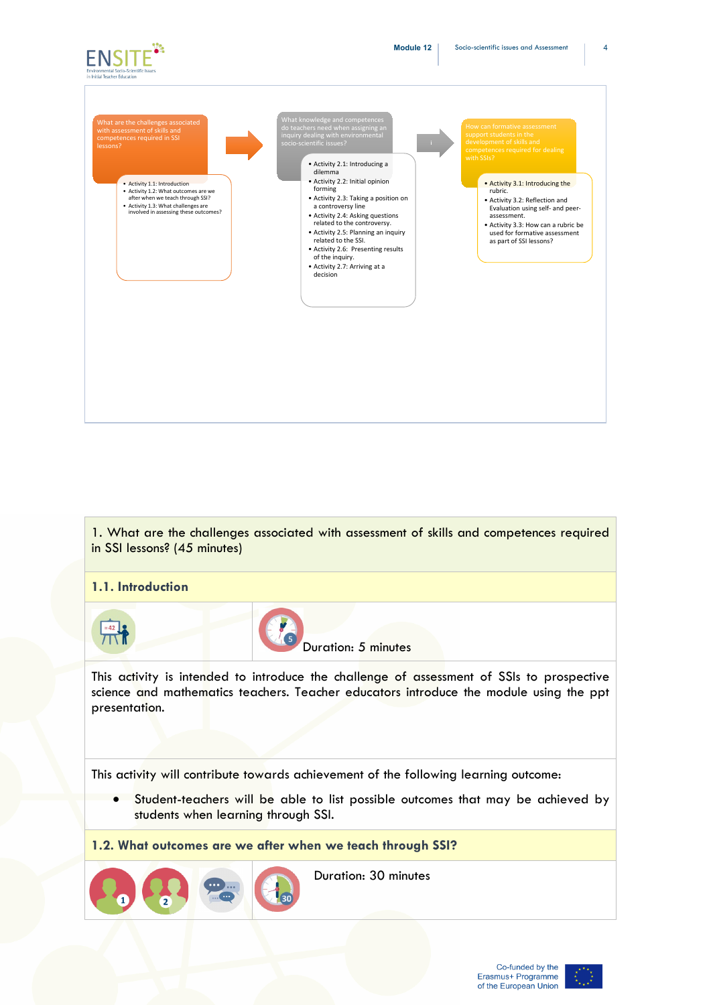





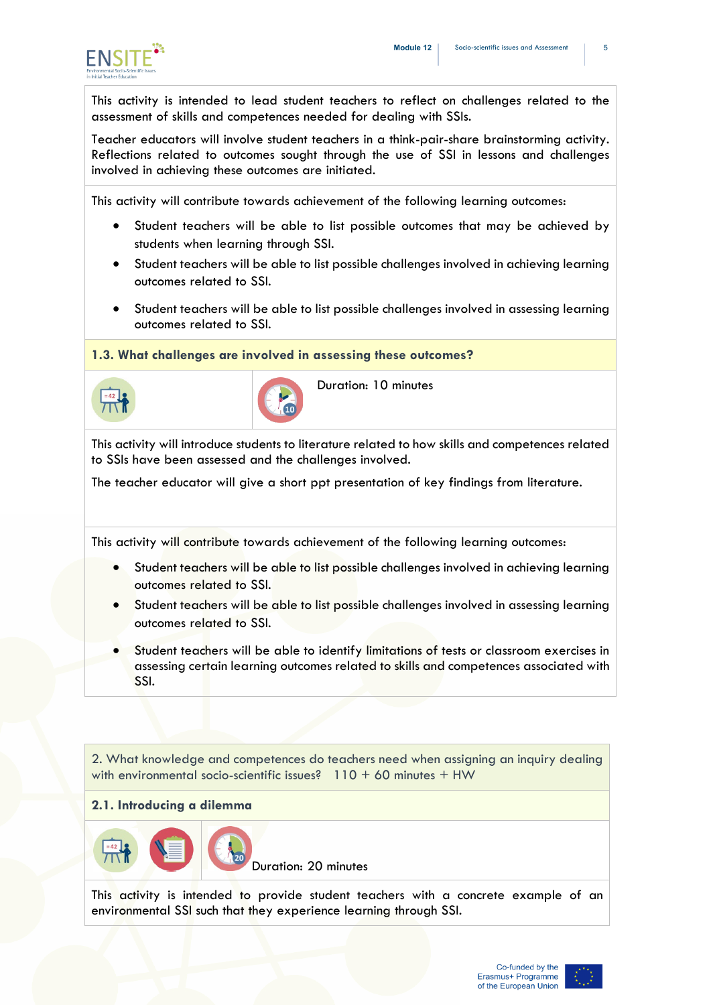

This activity is intended to lead student teachers to reflect on challenges related to the assessment of skills and competences needed for dealing with SSIs.

Teacher educators will involve student teachers in a think-pair-share brainstorming activity. Reflections related to outcomes sought through the use of SSI in lessons and challenges involved in achieving these outcomes are initiated.

This activity will contribute towards achievement of the following learning outcomes:

- Student teachers will be able to list possible outcomes that may be achieved by students when learning through SSI.
- Student teachers will be able to list possible challenges involved in achieving learning outcomes related to SSI.
- Student teachers will be able to list possible challenges involved in assessing learning outcomes related to SSI.

**1.3. What challenges are involved in assessing these outcomes?** 





Duration: 10 minutes

This activity will introduce students to literature related to how skills and competences related to SSIs have been assessed and the challenges involved.

The teacher educator will give a short ppt presentation of key findings from literature.

This activity will contribute towards achievement of the following learning outcomes:

- Student teachers will be able to list possible challenges involved in achieving learning outcomes related to SSI.
- Student teachers will be able to list possible challenges involved in assessing learning outcomes related to SSI.
- Student teachers will be able to identify limitations of tests or classroom exercises in assessing certain learning outcomes related to skills and competences associated with SSI.

2. What knowledge and competences do teachers need when assigning an inquiry dealing with environmental socio-scientific issues?  $110 + 60$  minutes  $+$  HW

#### **2.1. Introducing a dilemma**



Duration: 20 minutes

This activity is intended to provide student teachers with a concrete example of an environmental SSI such that they experience learning through SSI.

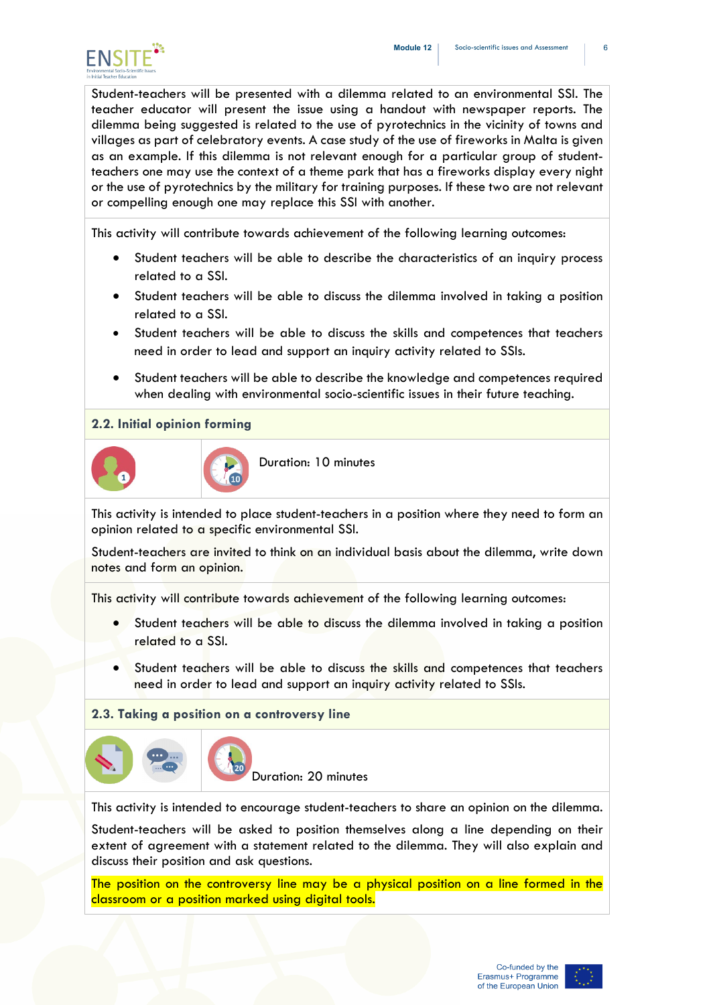

Student-teachers will be presented with a dilemma related to an environmental SSI. The teacher educator will present the issue using a handout with newspaper reports. The dilemma being suggested is related to the use of pyrotechnics in the vicinity of towns and villages as part of celebratory events. A case study of the use of fireworks in Malta is given as an example. If this dilemma is not relevant enough for a particular group of studentteachers one may use the context of a theme park that has a fireworks display every night or the use of pyrotechnics by the military for training purposes. If these two are not relevant or compelling enough one may replace this SSI with another.

This activity will contribute towards achievement of the following learning outcomes:

- Student teachers will be able to describe the characteristics of an inquiry process related to a SSI.
- Student teachers will be able to discuss the dilemma involved in taking a position related to a SSI.
- Student teachers will be able to discuss the skills and competences that teachers need in order to lead and support an inquiry activity related to SSIs.
- Student teachers will be able to describe the knowledge and competences required when dealing with environmental socio-scientific issues in their future teaching.

#### **2.2. Initial opinion forming**





Duration: 10 minutes

This activity is intended to place student-teachers in a position where they need to form an opinion related to a specific environmental SSI.

Student-teachers are invited to think on an individual basis about the dilemma, write down notes and form an opinion.

This activity will contribute towards achievement of the following learning outcomes:

- Student teachers will be able to discuss the dilemma involved in taking a position related to a SSI.
- Student teachers will be able to discuss the skills and competences that teachers need in order to lead and support an inquiry activity related to SSIs.

#### **2.3. Taking a position on a controversy line**



Duration: 20 minutes

This activity is intended to encourage student-teachers to share an opinion on the dilemma.

Student-teachers will be asked to position themselves along a line depending on their extent of agreement with a statement related to the dilemma. They will also explain and discuss their position and ask questions.

The position on the controversy line may be a physical position on a line formed in the classroom or a position marked using digital tools.

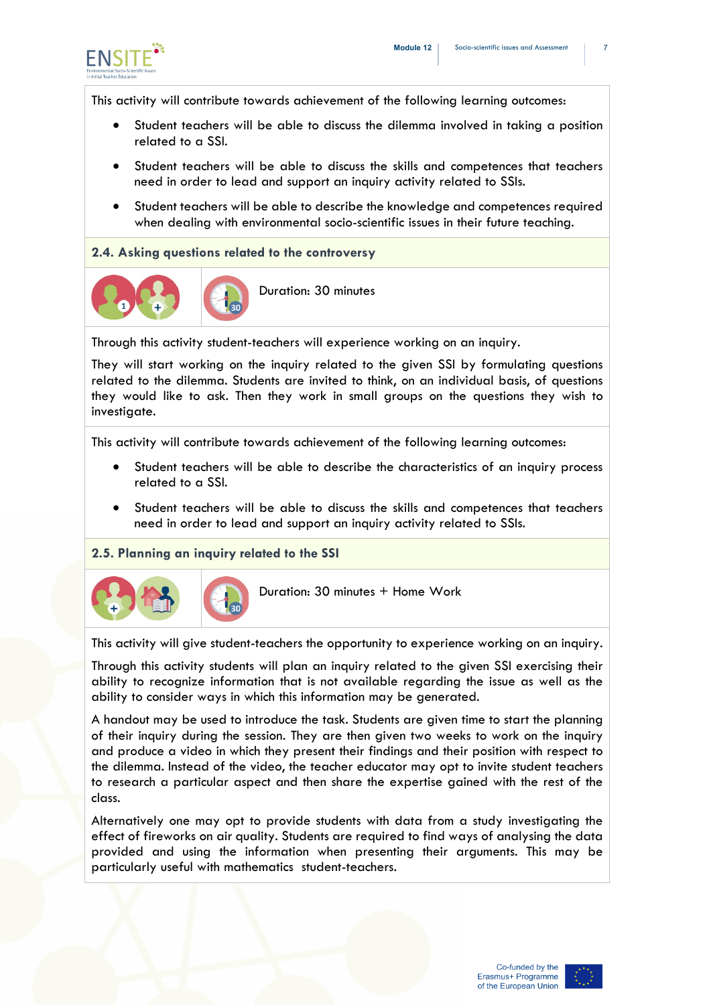

This activity will contribute towards achievement of the following learning outcomes:

- Student teachers will be able to discuss the dilemma involved in taking a position related to a SSI.
- Student teachers will be able to discuss the skills and competences that teachers need in order to lead and support an inquiry activity related to SSIs.
- Student teachers will be able to describe the knowledge and competences required when dealing with environmental socio-scientific issues in their future teaching.

#### **2.4. Asking questions related to the controversy**



Duration: 30 minutes

Through this activity student-teachers will experience working on an inquiry.

They will start working on the inquiry related to the given SSI by formulating questions related to the dilemma. Students are invited to think, on an individual basis, of questions they would like to ask. Then they work in small groups on the questions they wish to investigate.

This activity will contribute towards achievement of the following learning outcomes:

- Student teachers will be able to describe the characteristics of an inquiry process related to a SSI.
- Student teachers will be able to discuss the skills and competences that teachers need in order to lead and support an inquiry activity related to SSIs.

#### **2.5. Planning an inquiry related to the SSI**



Duration: 30 minutes + Home Work

This activity will give student-teachers the opportunity to experience working on an inquiry.

Through this activity students will plan an inquiry related to the given SSI exercising their ability to recognize information that is not available regarding the issue as well as the ability to consider ways in which this information may be generated.

A handout may be used to introduce the task. Students are given time to start the planning of their inquiry during the session. They are then given two weeks to work on the inquiry and produce a video in which they present their findings and their position with respect to the dilemma. Instead of the video, the teacher educator may opt to invite student teachers to research a particular aspect and then share the expertise gained with the rest of the class.

Alternatively one may opt to provide students with data from a study investigating the effect of fireworks on air quality. Students are required to find ways of analysing the data provided and using the information when presenting their arguments. This may be particularly useful with mathematics student-teachers.

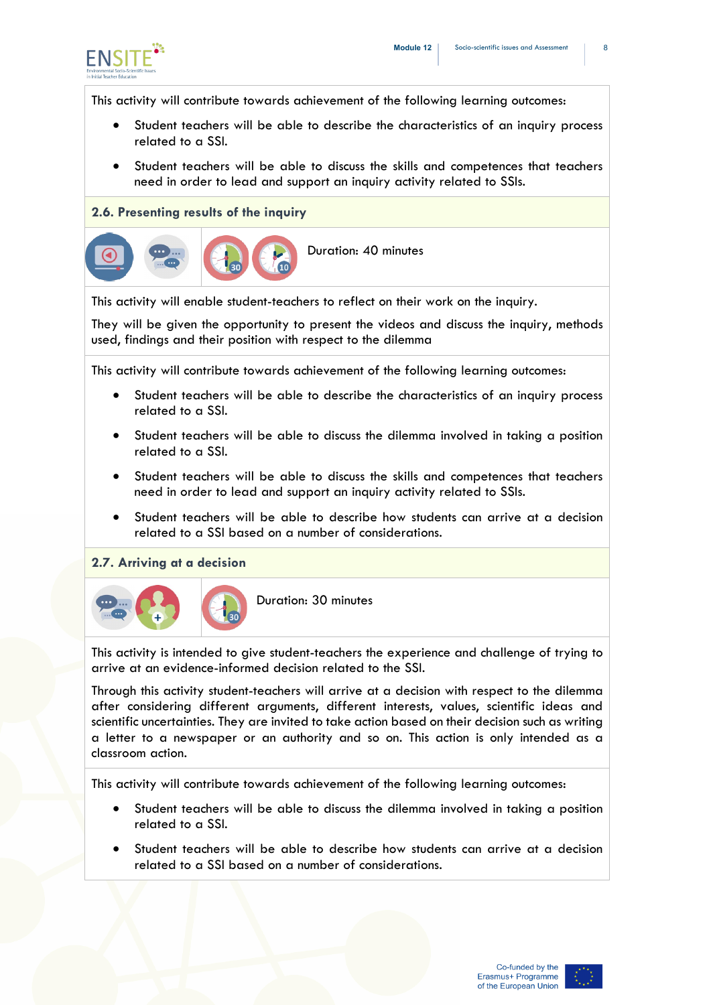

This activity will contribute towards achievement of the following learning outcomes:

- Student teachers will be able to describe the characteristics of an inquiry process related to a SSI.
- Student teachers will be able to discuss the skills and competences that teachers need in order to lead and support an inquiry activity related to SSIs.

#### **2.6. Presenting results of the inquiry**



This activity will enable student-teachers to reflect on their work on the inquiry.

They will be given the opportunity to present the videos and discuss the inquiry, methods used, findings and their position with respect to the dilemma

This activity will contribute towards achievement of the following learning outcomes:

- Student teachers will be able to describe the characteristics of an inquiry process related to a SSI.
- Student teachers will be able to discuss the dilemma involved in taking a position related to a SSI.
- Student teachers will be able to discuss the skills and competences that teachers need in order to lead and support an inquiry activity related to SSIs.
- Student teachers will be able to describe how students can arrive at a decision related to a SSI based on a number of considerations.

#### **2.7. Arriving at a decision**



Duration: 30 minutes

This activity is intended to give student-teachers the experience and challenge of trying to arrive at an evidence-informed decision related to the SSI.

Through this activity student-teachers will arrive at a decision with respect to the dilemma after considering different arguments, different interests, values, scientific ideas and scientific uncertainties. They are invited to take action based on their decision such as writing a letter to a newspaper or an authority and so on. This action is only intended as a classroom action.

This activity will contribute towards achievement of the following learning outcomes:

- Student teachers will be able to discuss the dilemma involved in taking a position related to a SSI.
- Student teachers will be able to describe how students can arrive at a decision related to a SSI based on a number of considerations.

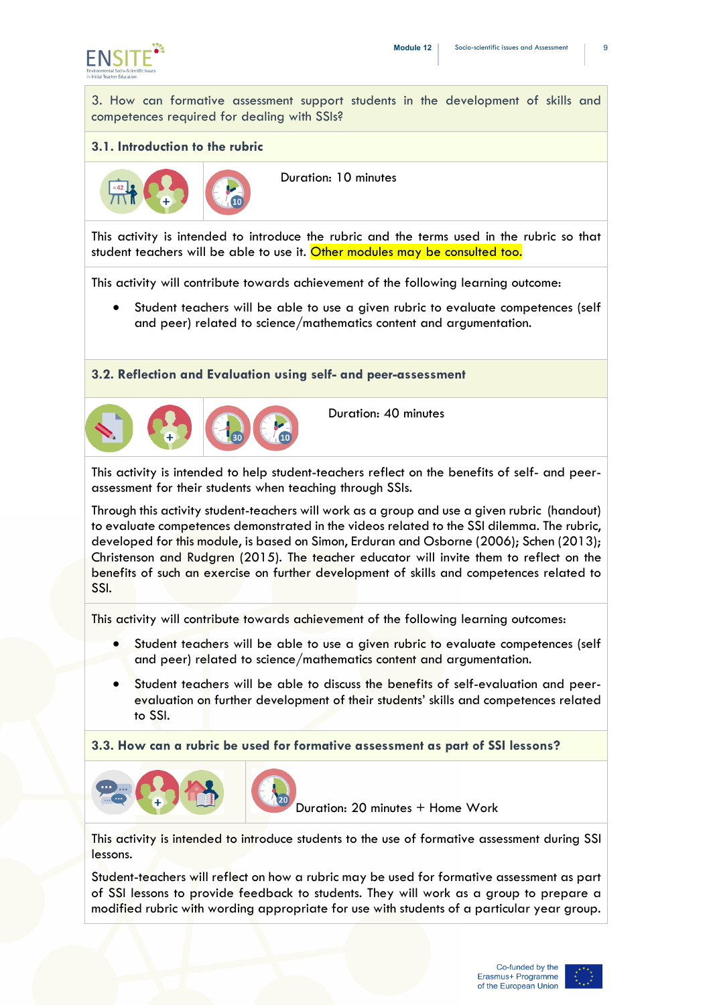

3. How can formative assessment support students in the development of skills and competences required for dealing with SSIs?

#### **3.1. Introduction to the rubric**



Duration: 10 minutes

This activity is intended to introduce the rubric and the terms used in the rubric so that student teachers will be able to use it. Other modules may be consulted too.

This activity will contribute towards achievement of the following learning outcome:

• Student teachers will be able to use a given rubric to evaluate competences (self and peer) related to science/mathematics content and argumentation.

**3.2. Reflection and Evaluation using self- and peer-assessment**



Duration: 40 minutes

This activity is intended to help student-teachers reflect on the benefits of self- and peerassessment for their students when teaching through SSIs.

Through this activity student-teachers will work as a group and use a given rubric (handout) to evaluate competences demonstrated in the videos related to the SSI dilemma. The rubric, developed for this module, is based on Simon, Erduran and Osborne (2006); Schen (2013); Christenson and Rudgren (2015). The teacher educator will invite them to reflect on the benefits of such an exercise on further development of skills and competences related to SSI.

This activity will contribute towards achievement of the following learning outcomes:

- Student teachers will be able to use a given rubric to evaluate competences (self and peer) related to science/mathematics content and argumentation.
- Student teachers will be able to discuss the benefits of self-evaluation and peerevaluation on further development of their students' skills and competences related to SSI.

**3.3. How can a rubric be used for formative assessment as part of SSI lessons?** 



Duration: 20 minutes + Home Work

This activity is intended to introduce students to the use of formative assessment during SSI lessons.

Student-teachers will reflect on how a rubric may be used for formative assessment as part of SSI lessons to provide feedback to students. They will work as a group to prepare a modified rubric with wording appropriate for use with students of a particular year group.

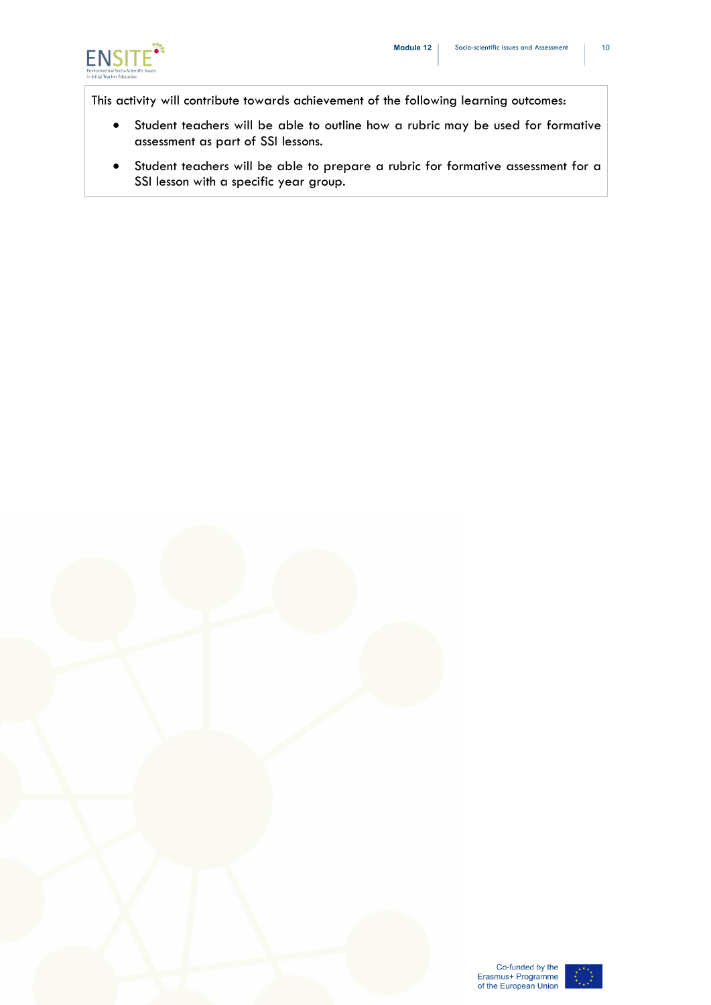

This activity will contribute towards achievement of the following learning outcomes:

- Student teachers will be able to outline how a rubric may be used for formative assessment as part of SSI lessons.
- Student teachers will be able to prepare a rubric for formative assessment for a SSI lesson with a specific year group.



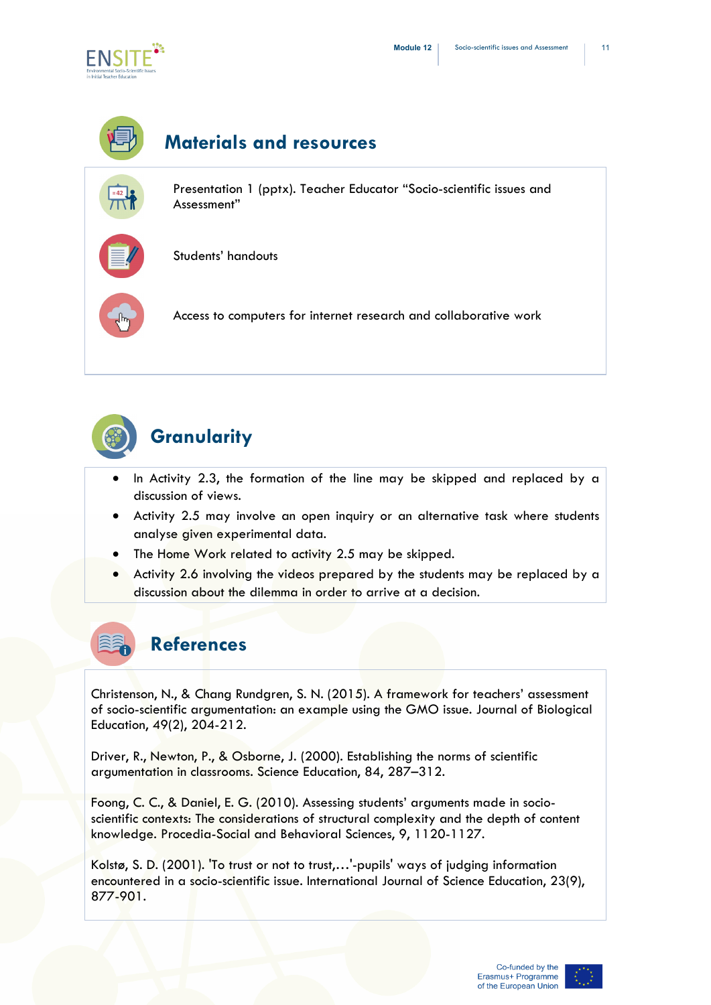

# **Materials and resources**

Presentation 1 (pptx). Teacher Educator "Socio-scientific issues and Assessment"



Students' handouts

Access to computers for internet research and collaborative work



## **Granularity**

- In Activity 2.3, the formation of the line may be skipped and replaced by a discussion of views.
- Activity 2.5 may involve an open inquiry or an alternative task where students analyse given experimental data.
- The Home Work related to activity 2.5 may be skipped.
- Activity 2.6 involving the videos prepared by the students may be replaced by a discussion about the dilemma in order to arrive at a decision.



Christenson, N., & Chang Rundgren, S. N. (2015). A framework for teachers' assessment of socio-scientific argumentation: an example using the GMO issue. Journal of Biological Education, 49(2), 204-212.

Driver, R., Newton, P., & Osborne, J. (2000). Establishing the norms of scientific argumentation in classrooms. Science Education, 84, 287–312.

Foong, C. C., & Daniel, E. G. (2010). Assessing students' arguments made in socioscientific contexts: The considerations of structural complexity and the depth of content knowledge. Procedia-Social and Behavioral Sciences, 9, 1120-1127.

Kolstø, S. D. (2001). 'To trust or not to trust,…'-pupils' ways of judging information encountered in a socio-scientific issue. International Journal of Science Education, 23(9), 877-901.

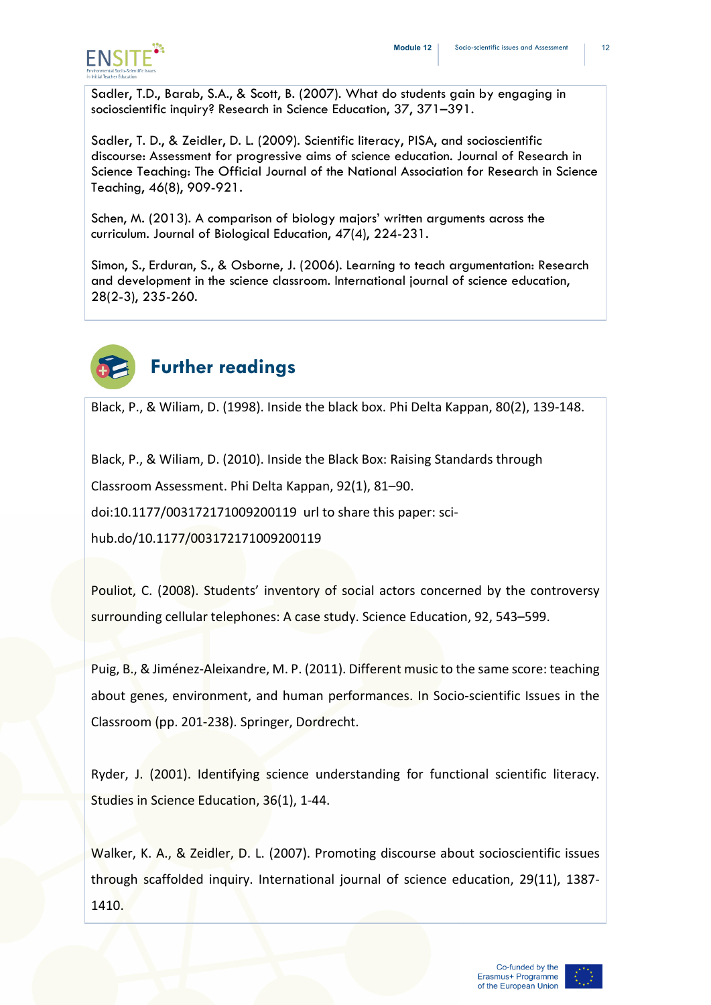

Sadler, T.D., Barab, S.A., & Scott, B. (2007). What do students gain by engaging in socioscientific inquiry? Research in Science Education, 37, 371–391.

Sadler, T. D., & Zeidler, D. L. (2009). Scientific literacy, PISA, and socioscientific discourse: Assessment for progressive aims of science education. Journal of Research in Science Teaching: The Official Journal of the National Association for Research in Science Teaching, 46(8), 909-921.

Schen, M. (2013). A comparison of biology majors' written arguments across the curriculum. Journal of Biological Education, 47(4), 224-231.

Simon, S., Erduran, S., & Osborne, J. (2006). Learning to teach argumentation: Research and development in the science classroom. International journal of science education, 28(2-3), 235-260.



## **Further readings**

Black, P., & Wiliam, D. (1998). Inside the black box. Phi Delta Kappan, 80(2), 139-148.

Black, P., & Wiliam, D. (2010). Inside the Black Box: Raising Standards through

Classroom Assessment. Phi Delta Kappan, 92(1), 81–90.

doi:10.1177/003172171009200119 url to share this paper: sci-

hub.do/10.1177/003172171009200119

Pouliot, C. (2008). Students' inventory of social actors concerned by the controversy surrounding cellular telephones: A case study. Science Education, 92, 543–599.

Puig, B., & Jiménez-Aleixandre, M. P. (2011). Different music to the same score: teaching about genes, environment, and human performances. In Socio-scientific Issues in the Classroom (pp. 201-238). Springer, Dordrecht.

Ryder, J. (2001). Identifying science understanding for functional scientific literacy. Studies in Science Education, 36(1), 1-44.

Walker, K. A., & Zeidler, D. L. (2007). Promoting discourse about socioscientific issues through scaffolded inquiry. International journal of science education, 29(11), 1387- 1410.